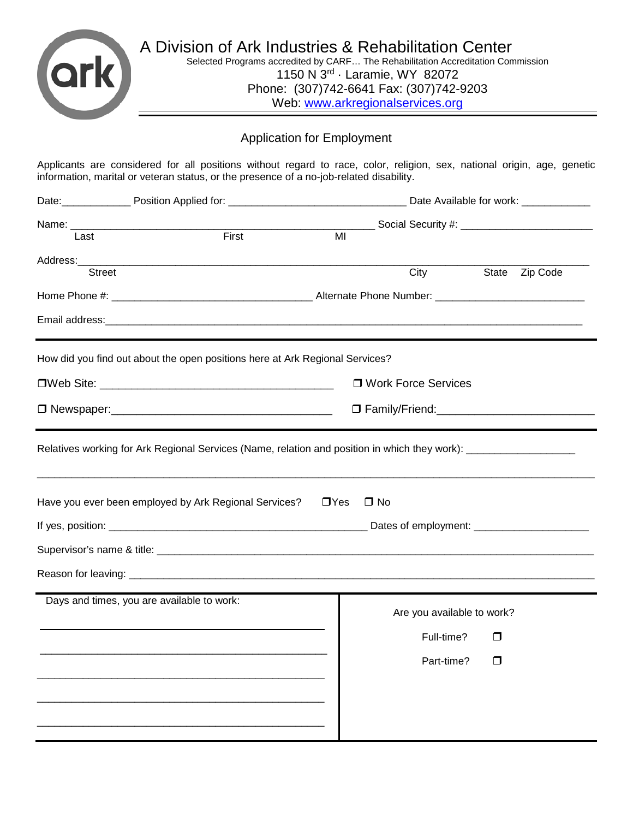

1150 N 3rd · Laramie, WY 82072 Phone: (307)742-6641 Fax: (307)742-9203 Web: [www.arkregionalservices.org](http://www.arkregionalservices.org/)

# Application for Employment

Applicants are considered for all positions without regard to race, color, religion, sex, national origin, age, genetic information, marital or veteran status, or the presence of a no-job-related disability.

|               | Date Available for work: ____________                                                                          |                                                     |                            |       |          |
|---------------|----------------------------------------------------------------------------------------------------------------|-----------------------------------------------------|----------------------------|-------|----------|
|               |                                                                                                                | ____ Social Security #: ___________________________ |                            |       |          |
| Last          | First                                                                                                          | MI                                                  |                            |       |          |
| <b>Street</b> |                                                                                                                |                                                     | City                       | State | Zip Code |
|               |                                                                                                                |                                                     |                            |       |          |
|               |                                                                                                                |                                                     |                            |       |          |
|               |                                                                                                                |                                                     |                            |       |          |
|               | How did you find out about the open positions here at Ark Regional Services?                                   |                                                     |                            |       |          |
|               |                                                                                                                |                                                     | □ Work Force Services      |       |          |
|               |                                                                                                                |                                                     |                            |       |          |
|               | Relatives working for Ark Regional Services (Name, relation and position in which they work): ________________ |                                                     |                            |       |          |
|               | Have you ever been employed by Ark Regional Services?                                                          | $\Box$ Yes                                          | $\Box$ No                  |       |          |
|               |                                                                                                                |                                                     |                            |       |          |
|               |                                                                                                                |                                                     |                            |       |          |
|               |                                                                                                                |                                                     |                            |       |          |
|               | Days and times, you are available to work:                                                                     |                                                     | Are you available to work? |       |          |
|               |                                                                                                                |                                                     | Full-time?                 | П     |          |
|               |                                                                                                                |                                                     | Part-time? □               |       |          |
|               |                                                                                                                |                                                     |                            |       |          |
|               |                                                                                                                |                                                     |                            |       |          |
|               |                                                                                                                |                                                     |                            |       |          |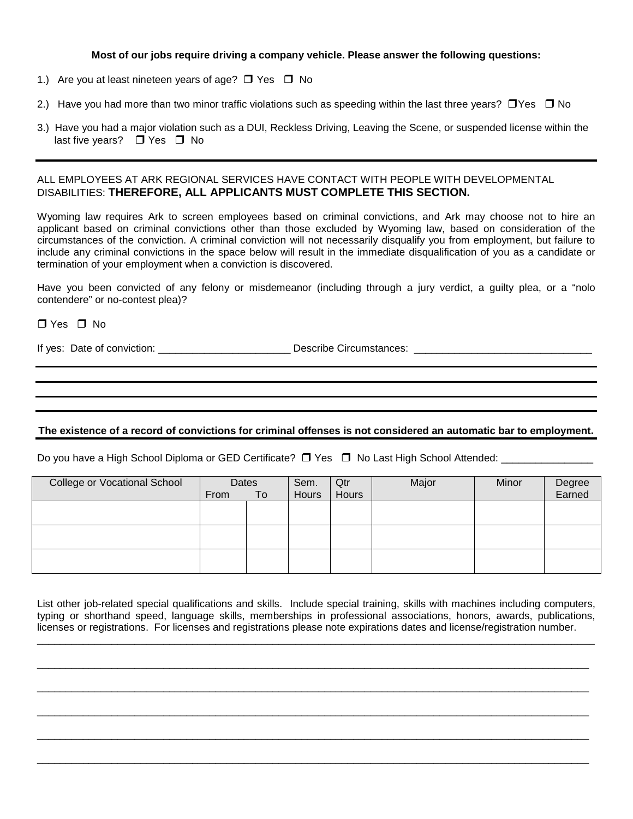## **Most of our jobs require driving a company vehicle. Please answer the following questions:**

- 1.) Are you at least nineteen years of age?  $\Box$  Yes  $\Box$  No
- 2.) Have you had more than two minor traffic violations such as speeding within the last three years?  $\Box$  Yes  $\Box$  No
- 3.) Have you had a major violation such as a DUI, Reckless Driving, Leaving the Scene, or suspended license within the last five years?  $\Box$  Yes  $\Box$  No

## ALL EMPLOYEES AT ARK REGIONAL SERVICES HAVE CONTACT WITH PEOPLE WITH DEVELOPMENTAL DISABILITIES: **THEREFORE, ALL APPLICANTS MUST COMPLETE THIS SECTION.**

Wyoming law requires Ark to screen employees based on criminal convictions, and Ark may choose not to hire an applicant based on criminal convictions other than those excluded by Wyoming law, based on consideration of the circumstances of the conviction. A criminal conviction will not necessarily disqualify you from employment, but failure to include any criminal convictions in the space below will result in the immediate disqualification of you as a candidate or termination of your employment when a conviction is discovered.

Have you been convicted of any felony or misdemeanor (including through a jury verdict, a guilty plea, or a "nolo contendere" or no-contest plea)?

## $\Box$  Yes  $\Box$  No

If yes: Date of conviction: \_\_\_\_\_\_\_\_\_\_\_\_\_\_\_\_\_\_\_\_\_\_\_ Describe Circumstances: \_\_\_\_\_\_\_\_\_\_\_\_\_\_\_\_\_\_\_\_\_\_\_\_\_\_\_\_\_\_\_

## **The existence of a record of convictions for criminal offenses is not considered an automatic bar to employment.**

Do you have a High School Diploma or GED Certificate? Yes No Last High School Attended: \_\_\_\_\_\_\_\_\_\_\_\_\_\_\_\_

| <b>College or Vocational School</b> | Dates<br>From | To | Sem.<br>Hours | Qtr<br>Hours | Major | Minor | Degree<br>Earned |
|-------------------------------------|---------------|----|---------------|--------------|-------|-------|------------------|
|                                     |               |    |               |              |       |       |                  |
|                                     |               |    |               |              |       |       |                  |
|                                     |               |    |               |              |       |       |                  |

List other job-related special qualifications and skills. Include special training, skills with machines including computers, typing or shorthand speed, language skills, memberships in professional associations, honors, awards, publications, licenses or registrations. For licenses and registrations please note expirations dates and license/registration number.

\_\_\_\_\_\_\_\_\_\_\_\_\_\_\_\_\_\_\_\_\_\_\_\_\_\_\_\_\_\_\_\_\_\_\_\_\_\_\_\_\_\_\_\_\_\_\_\_\_\_\_\_\_\_\_\_\_\_\_\_\_\_\_\_\_\_\_\_\_\_\_\_\_\_\_\_\_\_\_\_\_\_\_\_\_\_\_\_\_\_\_\_\_\_\_\_\_

\_\_\_\_\_\_\_\_\_\_\_\_\_\_\_\_\_\_\_\_\_\_\_\_\_\_\_\_\_\_\_\_\_\_\_\_\_\_\_\_\_\_\_\_\_\_\_\_\_\_\_\_\_\_\_\_\_\_\_\_\_\_\_\_\_\_\_\_\_\_\_\_\_\_\_\_\_\_\_\_\_\_\_\_\_\_\_\_\_\_\_\_\_\_\_\_

\_\_\_\_\_\_\_\_\_\_\_\_\_\_\_\_\_\_\_\_\_\_\_\_\_\_\_\_\_\_\_\_\_\_\_\_\_\_\_\_\_\_\_\_\_\_\_\_\_\_\_\_\_\_\_\_\_\_\_\_\_\_\_\_\_\_\_\_\_\_\_\_\_\_\_\_\_\_\_\_\_\_\_\_\_\_\_\_\_\_\_\_\_\_\_\_

\_\_\_\_\_\_\_\_\_\_\_\_\_\_\_\_\_\_\_\_\_\_\_\_\_\_\_\_\_\_\_\_\_\_\_\_\_\_\_\_\_\_\_\_\_\_\_\_\_\_\_\_\_\_\_\_\_\_\_\_\_\_\_\_\_\_\_\_\_\_\_\_\_\_\_\_\_\_\_\_\_\_\_\_\_\_\_\_\_\_\_\_\_\_\_\_

\_\_\_\_\_\_\_\_\_\_\_\_\_\_\_\_\_\_\_\_\_\_\_\_\_\_\_\_\_\_\_\_\_\_\_\_\_\_\_\_\_\_\_\_\_\_\_\_\_\_\_\_\_\_\_\_\_\_\_\_\_\_\_\_\_\_\_\_\_\_\_\_\_\_\_\_\_\_\_\_\_\_\_\_\_\_\_\_\_\_\_\_\_\_\_\_

\_\_\_\_\_\_\_\_\_\_\_\_\_\_\_\_\_\_\_\_\_\_\_\_\_\_\_\_\_\_\_\_\_\_\_\_\_\_\_\_\_\_\_\_\_\_\_\_\_\_\_\_\_\_\_\_\_\_\_\_\_\_\_\_\_\_\_\_\_\_\_\_\_\_\_\_\_\_\_\_\_\_\_\_\_\_\_\_\_\_\_\_\_\_\_\_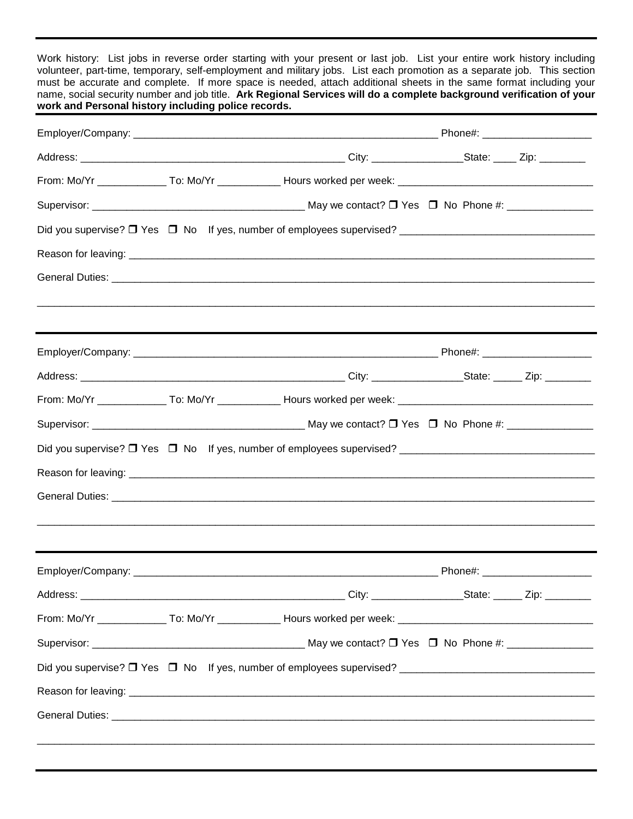Work history: List jobs in reverse order starting with your present or last job. List your entire work history including volunteer, part-time, temporary, self-employment and military jobs. List each promotion as a separate job. This section must be accurate and complete. If more space is needed, attach additional sheets in the same format including your name, social security number and job title. **Ark Regional Services will do a complete background verification of your work and Personal history including police records.**

|  | From: Mo/Yr ________________ To: Mo/Yr ______________ Hours worked per week: _________________________________ |  |  |
|--|----------------------------------------------------------------------------------------------------------------|--|--|
|  |                                                                                                                |  |  |
|  |                                                                                                                |  |  |
|  |                                                                                                                |  |  |
|  |                                                                                                                |  |  |
|  |                                                                                                                |  |  |
|  |                                                                                                                |  |  |
|  | From: Mo/Yr ________________ To: Mo/Yr ______________ Hours worked per week: _________________________________ |  |  |
|  |                                                                                                                |  |  |
|  |                                                                                                                |  |  |
|  |                                                                                                                |  |  |
|  |                                                                                                                |  |  |
|  |                                                                                                                |  |  |
|  |                                                                                                                |  |  |